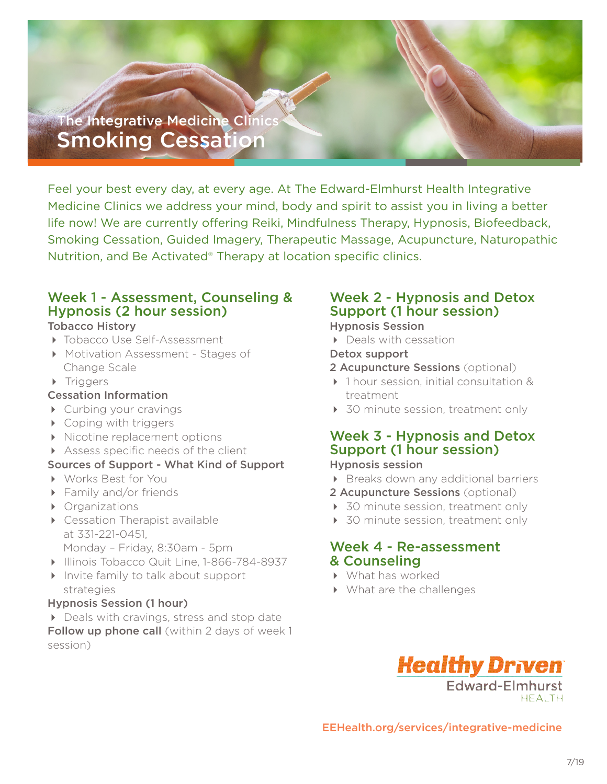# The Integrative Medicine Clinics Smoking Cessation

Feel your best every day, at every age. At The Edward-Elmhurst Health Integrative Medicine Clinics we address your mind, body and spirit to assist you in living a better life now! We are currently offering Reiki, Mindfulness Therapy, Hypnosis, Biofeedback, Smoking Cessation, Guided Imagery, Therapeutic Massage, Acupuncture, Naturopathic Nutrition, and Be Activated® Therapy at location specific clinics.

## Week 1 - Assessment, Counseling & Hypnosis (2 hour session)

## Tobacco History

- 4 Tobacco Use Self-Assessment
- 4 Motivation Assessment Stages of Change Scale
- **Financiers**

#### Cessation Information

- ▶ Curbing your cravings
- ▶ Coping with triggers
- ▶ Nicotine replacement options
- Assess specific needs of the client

## Sources of Support - What Kind of Support

- 4 Works Best for You
- ▶ Family and/or friends
- 4 Organizations
- ▶ Cessation Therapist available at 331-221-0451, Monday – Friday, 8:30am - 5pm
- ▶ Illinois Tobacco Quit Line, 1-866-784-8937
- Invite family to talk about support strategies

## Hypnosis Session (1 hour)

▶ Deals with cravings, stress and stop date

Follow up phone call (within 2 days of week 1 session)

#### Week 2 - Hypnosis and Detox Support (1 hour session) Hypnosis Session

▶ Deals with cessation

## Detox support

#### 2 Acupuncture Sessions (optional)

- ▶ 1 hour session, initial consultation & treatment
- ▶ 30 minute session, treatment only

#### Week 3 - Hypnosis and Detox Support (1 hour session) Hypnosis session

- ▶ Breaks down any additional barriers
- 2 Acupuncture Sessions (optional)
- ▶ 30 minute session, treatment only
- ▶ 30 minute session, treatment only

## Week 4 - Re-assessment & Counseling

- 4 What has worked
- 4 What are the challenges



EEHealth.org/services/integrative-medicine